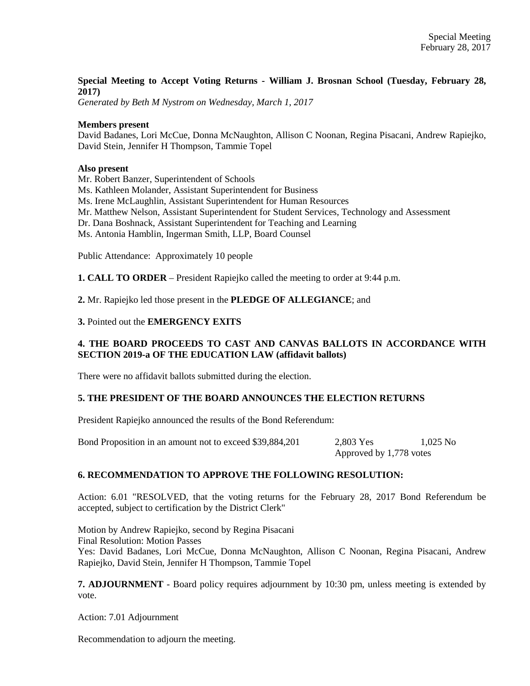## **Special Meeting to Accept Voting Returns - William J. Brosnan School (Tuesday, February 28, 2017)**

*Generated by Beth M Nystrom on Wednesday, March 1, 2017*

### **Members present**

David Badanes, Lori McCue, Donna McNaughton, Allison C Noonan, Regina Pisacani, Andrew Rapiejko, David Stein, Jennifer H Thompson, Tammie Topel

## **Also present**

Mr. Robert Banzer, Superintendent of Schools

Ms. Kathleen Molander, Assistant Superintendent for Business

Ms. Irene McLaughlin, Assistant Superintendent for Human Resources

Mr. Matthew Nelson, Assistant Superintendent for Student Services, Technology and Assessment

Dr. Dana Boshnack, Assistant Superintendent for Teaching and Learning

Ms. Antonia Hamblin, Ingerman Smith, LLP, Board Counsel

Public Attendance: Approximately 10 people

**1. CALL TO ORDER** – President Rapiejko called the meeting to order at 9:44 p.m.

**2.** Mr. Rapiejko led those present in the **PLEDGE OF ALLEGIANCE**; and

## **3.** Pointed out the **EMERGENCY EXITS**

# **4. THE BOARD PROCEEDS TO CAST AND CANVAS BALLOTS IN ACCORDANCE WITH SECTION 2019-a OF THE EDUCATION LAW (affidavit ballots)**

There were no affidavit ballots submitted during the election.

### **5. THE PRESIDENT OF THE BOARD ANNOUNCES THE ELECTION RETURNS**

President Rapiejko announced the results of the Bond Referendum:

Bond Proposition in an amount not to exceed \$39,884,201 2,803 Yes 1,025 No Approved by 1,778 votes

### **6. RECOMMENDATION TO APPROVE THE FOLLOWING RESOLUTION:**

Action: 6.01 "RESOLVED, that the voting returns for the February 28, 2017 Bond Referendum be accepted, subject to certification by the District Clerk"

Motion by Andrew Rapiejko, second by Regina Pisacani Final Resolution: Motion Passes Yes: David Badanes, Lori McCue, Donna McNaughton, Allison C Noonan, Regina Pisacani, Andrew Rapiejko, David Stein, Jennifer H Thompson, Tammie Topel

**7. ADJOURNMENT** - Board policy requires adjournment by 10:30 pm, unless meeting is extended by vote.

Action: 7.01 Adjournment

Recommendation to adjourn the meeting.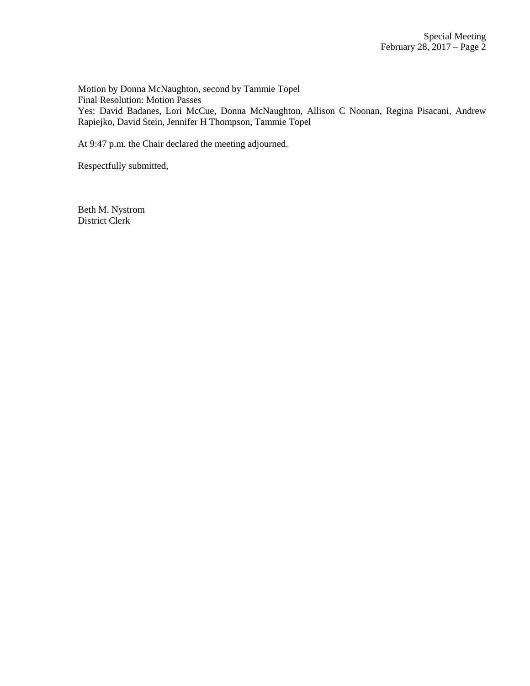Motion by Donna McNaughton, second by Tammie Topel Final Resolution: Motion Passes Yes: David Badanes, Lori McCue, Donna McNaughton, Allison C Noonan, Regina Pisacani, Andrew Rapiejko, David Stein, Jennifer H Thompson, Tammie Topel

At 9:47 p.m. the Chair declared the meeting adjourned.

Respectfully submitted,

Beth M. Nystrom District Clerk